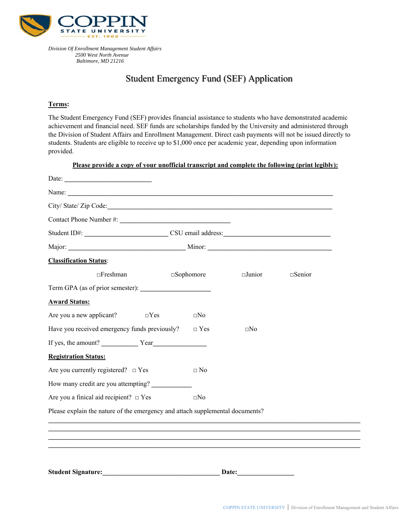

*Division Of Enrollment Management Student Affairs 2500 West North Avenue Baltimore, MD 21216* 

## Student Emergency Fund (SEF) Application

## **Terms:**

The Student Emergency Fund (SEF) provides financial assistance to students who have demonstrated academic achievement and financial need. SEF funds are scholarships funded by the University and administered through the Division of Student Affairs and Enrollment Management. Direct cash payments will not be issued directly to students. Students are eligible to receive up to \$1,000 once per academic year, depending upon information provided.

|                                               |                     | Please provide a copy of your unofficial transcript and complete the following (print legibly): |                  |
|-----------------------------------------------|---------------------|-------------------------------------------------------------------------------------------------|------------------|
| Date: $\frac{1}{2}$                           |                     |                                                                                                 |                  |
|                                               |                     |                                                                                                 |                  |
| City/State/Zip Code:                          |                     |                                                                                                 |                  |
|                                               |                     |                                                                                                 |                  |
|                                               |                     |                                                                                                 |                  |
|                                               |                     |                                                                                                 |                  |
| <b>Classification Status:</b>                 |                     |                                                                                                 |                  |
| $\Box$ Freshman                               | $\square$ Sophomore | $\Box$ Junior                                                                                   | $\square$ Senior |
| Term GPA (as of prior semester):              |                     |                                                                                                 |                  |
| <b>Award Status:</b>                          |                     |                                                                                                 |                  |
| Are you a new applicant?<br>$\Box$ Yes        | $\square$ No        |                                                                                                 |                  |
| Have you received emergency funds previously? | $\Box$ Yes          | $\square$ No                                                                                    |                  |
|                                               |                     |                                                                                                 |                  |
| <b>Registration Status:</b>                   |                     |                                                                                                 |                  |
| Are you currently registered? $\Box$ Yes      | $\Box$ No           |                                                                                                 |                  |
| How many credit are you attempting?           |                     |                                                                                                 |                  |
| Are you a finical aid recipient? $\Box$ Yes   | $\square No$        |                                                                                                 |                  |
|                                               |                     | Please explain the nature of the emergency and attach supplemental documents?                   |                  |